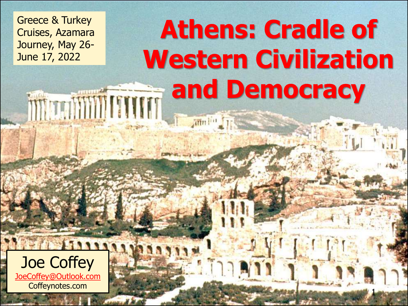Greece & Turkey Cruises, Azamara Journey, May 26- June 17, 2022

## **Athens: Cradle of [Western Civilization](http://www.google.com/url?sa=i&source=images&cd=&cad=rja&docid=MWGLZOeer0zz1M&tbnid=S8Nk4_E4BhrZAM:&ved=0CAgQjRwwAA&url=http://commons.wikimedia.org/wiki/File:The_Acropolis_Hill.jpg&ei=2QEEUte-PNSyygHK_YHQAw&psig=AFQjCNErkxAfzz48A1nq4bEEZScfFjhY7A&ust=1376080730041996)  and Democracy** WWWWWWW

ann lin

1

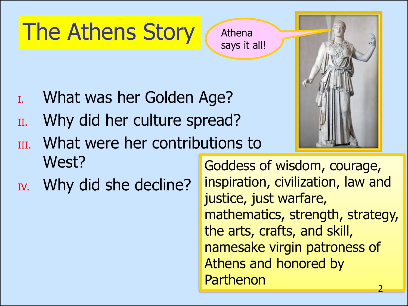## The Athens Story

- I. What was her Golden Age?
- II. Why did her culture spread?
- III. What were her contributions to West?
- IV. Why did she decline?

Goddess of wisdom, courage, inspiration, civilization, law and justice, just warfare, mathematics, strength, strategy, the arts, crafts, and skill, namesake virgin patroness of Athens and honored by Parthenon



Athena says it all!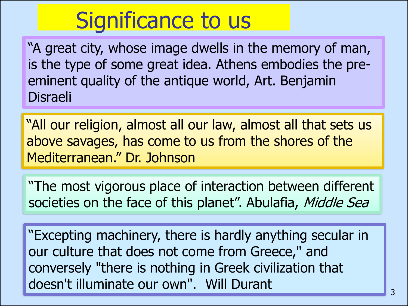## Significance to us

"A great city, whose image dwells in the memory of man, is the type of some great idea. Athens embodies the preeminent quality of the antique world, Art. Benjamin Disraeli

"All our religion, almost all our law, almost all that sets us above savages, has come to us from the shores of the Mediterranean." Dr. Johnson

"The most vigorous place of interaction between different societies on the face of this planet". Abulafia, Middle Sea

"Excepting machinery, there is hardly anything secular in our culture that does not come from Greece," and conversely "there is nothing in Greek civilization that doesn't illuminate our own". Will Durant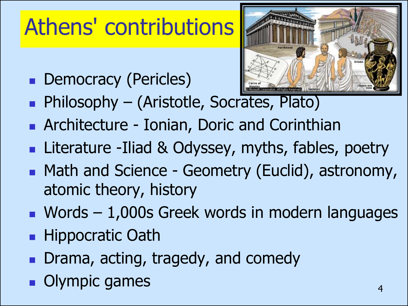## Athens' contributions

■ Democracy (Pericles)



- Philosophy (Aristotle, Soc[rates, Plato\)](http://www.google.com/url?sa=i&source=images&cd=&cad=rja&docid=ZB-mk4XrqGLuBM&tbnid=UrFmzwgUYflckM:&ved=0CAgQjRwwAA&url=http://www.tebyan.net/index.aspx?pid%3D102844%26BookID%3D23118%26Language%3D3&ei=2iAGUrXvIcr32wX85YGYDA&psig=AFQjCNEyczi8zRQKexJVyqWMlg-Q36bvFQ&ust=1376219738635086)
- Architecture Ionian, Doric and Corinthian
- Literature -Iliad & Odyssey, myths, fables, poetry
- Math and Science Geometry (Euclid), astronomy, atomic theory, history
- Words 1,000s Greek words in modern languages
- **Hippocratic Oath**
- Drama, acting, tragedy, and comedy
- Olympic games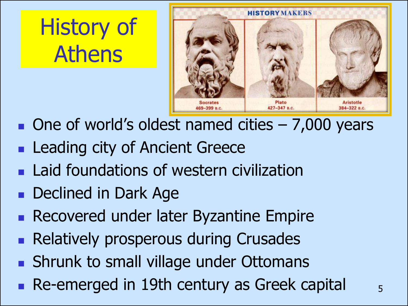## History of Athens



- $\blacksquare$  One of world's oldest named cities  $-7,000$  years
- Leading city of Ancient Greece
- Laid foundations of western civilization
- Declined in Dark Age
- Recovered under later Byzantine Empire
- Relatively prosperous during Crusades
- Shrunk to small village under Ottomans
- $\blacksquare$  Re-emerged in 19th century as Greek capital  $\blacksquare$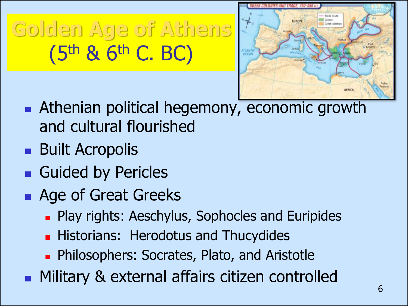**Golden Age of Athens**  (5th & 6th C. BC)



- Athenian political hegemony, economic growth and cultural flourished
- Built Acropolis
- Guided by Pericles
- Age of Great Greeks
	- Play rights: Aeschylus, Sophocles and Euripides
	- **Historians: Herodotus and Thucydides**
	- Philosophers: Socrates, Plato, and Aristotle
- Military & external affairs citizen controlled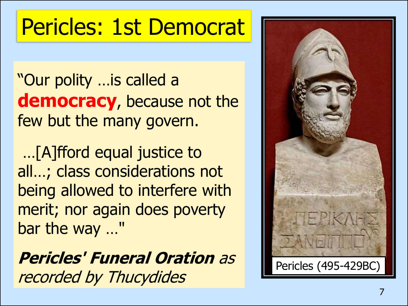## Pericles: 1st Democrat

"Our polity …is called a **democracy**, because not the few but the many govern.

…[A]fford equal justice to all…; class considerations not being allowed to interfere with merit; nor again does poverty bar the way …"

**Pericles' Funeral Oration** as recorded by Thucydides

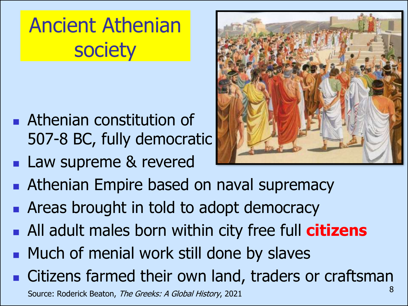Ancient Athenian **society** 

- Athenian constitution of 507-8 BC, fully democratic
- Law supreme & revered



- Athenian Empire based on naval supremacy
- Areas brought in told to adopt democracy
- All adult males born within city free full **citizens**
- Much of menial work still done by slaves
- Citizens farmed their own land, traders or craftsman

Source: Roderick Beaton, The Greeks: A Global History, 2021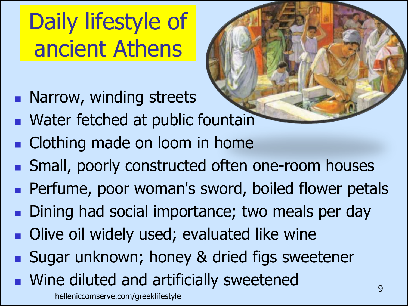# Daily lifestyle of ancient Athens

- Narrow, winding streets
- Water fetched at public fountain
- Clothing made on loom in home
- Small, poorly constructed often one-room houses
- Perfume, poor woman's sword, boiled flower petals
- Dining had social importance; two meals per day
- Olive oil widely used; evaluated like wine
- Sugar unknown; honey & dried figs sweetener
- Wine diluted and artificially sweetened 9 helleniccomserve.com/greeklifestyle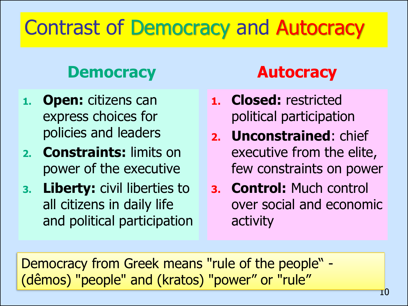### Contrast of Democracy and Autocracy

### **Democracy**

- **1. Open:** citizens can express choices for policies and leaders
- **2. Constraints:** limits on power of the executive
- **3. Liberty:** civil liberties to all citizens in daily life and political participation

### **Autocracy**

- **1. Closed:** restricted political participation
- **2. Unconstrained**: chief executive from the elite, few constraints on power
- **3. Control:** Much control over social and economic activity

Democracy from Greek means "rule of the people" - (dêmos) "people" and (kratos) "power" or "rule"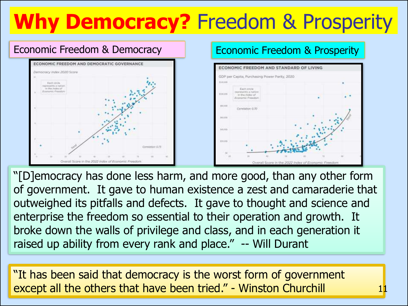### **Why Democracy?** Freedom & Prosperity



"[D]emocracy has done less harm, and more good, than any other form of government. It gave to human existence a zest and camaraderie that outweighed its pitfalls and defects. It gave to thought and science and enterprise the freedom so essential to their operation and growth. It broke down the walls of privilege and class, and in each generation it raised up ability from every rank and place." -- Will Durant

"It has been said that democracy is the worst form of government except all the others that have been tried." - Winston Churchill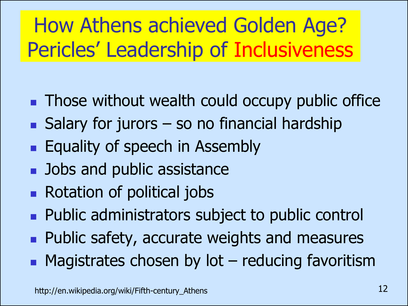### How Athens achieved Golden Age? Pericles' Leadership of Inclusiveness

- Those without wealth could occupy public office
- $\blacksquare$  Salary for jurors so no financial hardship
- Equality of speech in Assembly
- Jobs and public assistance
- Rotation of political jobs
- Public administrators subject to public control
- Public safety, accurate weights and measures
- Magistrates chosen by lot reducing favoritism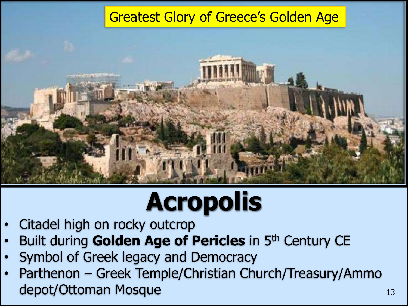#### [Greatest Glory of Greece's Golden Age](http://www.google.com/url?sa=i&rct=j&q=&esrc=s&frm=1&source=images&cd=&cad=rja&docid=UQvbnN8-fL0oFM&tbnid=vyyawFORHHZrCM:&ved=0CAUQjRw&url=http://www.wikiveler.com/europe/greece/attica/athens/attractions/acropolis/&ei=Rrn-UegL4c3ZBZfcgKgG&bvm=bv.50165853,d.aWM&psig=AFQjCNEoypxrrN-JqEn547BSOR47SqZPpw&ust=1375734411134224)



# **Acropolis**

- Citadel high on rocky outcrop
- Built during Golden Age of Pericles in 5<sup>th</sup> Century CE
- Symbol of Greek legacy and Democracy
- Parthenon Greek Temple/Christian Church/Treasury/Ammo depot/Ottoman Mosque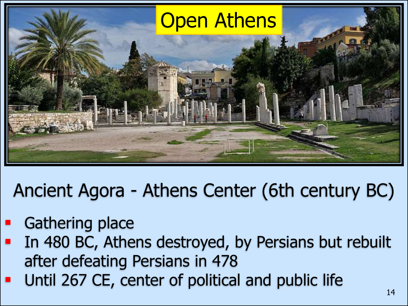

Ancient Agora - Athens Center (6th century BC)

- **Gathering place**
- In 480 BC, Athens destroyed, by Persians but rebuilt after defeating Persians in 478
- Until 267 CE, center of political and public life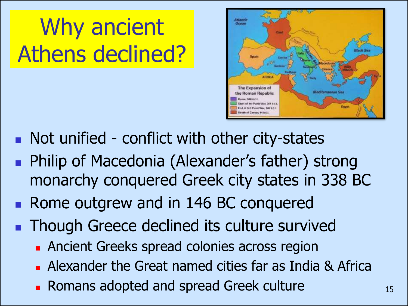Why ancient Athens declined?



- Not unified conflict with other city-states
- Philip of Macedonia (Alexander's father) strong monarchy conquered Greek city states in 338 BC
- Rome outgrew and in 146 BC conquered
- Though Greece declined its culture survived
	- Ancient Greeks spread colonies across region
	- Alexander the Great named cities far as India & Africa
	- Romans adopted and spread Greek culture 15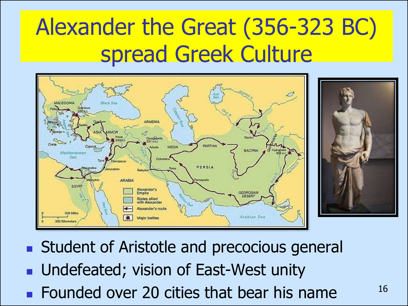## Alexander the Great (356-323 BC) spread Greek Culture



- Student of Aristotle and precocious general
- Undefeated; vision of East-West unity
- Founded over 20 cities that bear his name  $16$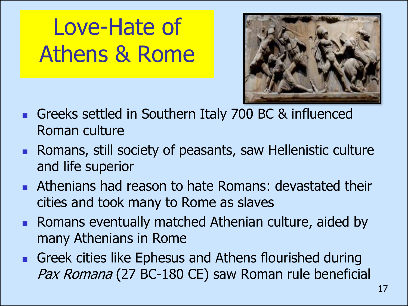## Love-Hate of Athens & Rome



- Greeks settled in Southern Italy 700 BC & influenced Roman culture
- Romans, still society of peasants, saw Hellenistic culture and life superior
- Athenians had reason to hate Romans: devastated their cities and took many to Rome as slaves
- Romans eventually matched Athenian culture, aided by many Athenians in Rome
- Greek cities like Ephesus and Athens flourished during Pax Romana (27 BC-180 CE) saw Roman rule beneficial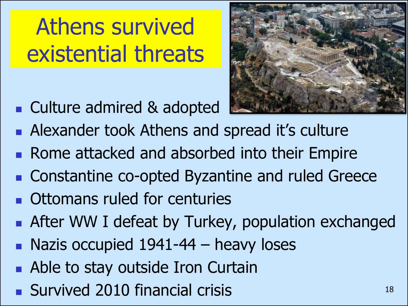## Athens survived existential threats

■ Culture admired & adopted



- Alexander took Athens and spread it's culture
- Rome attacked and absorbed into their Empire
- Constantine co-opted Byzantine and ruled Greece ■ Ottomans ruled for centuries
- After WW I defeat by Turkey, population exchanged
- $\blacksquare$  Nazis occupied 1941-44 heavy loses
- Able to stay outside Iron Curtain
- Survived 2010 financial crisis 18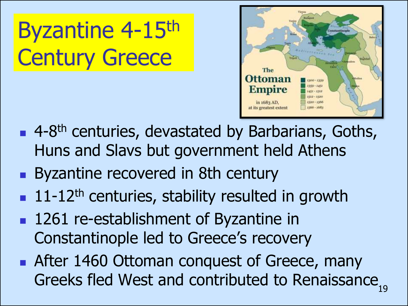Byzantine 4-15th Century Greece



- 4-8<sup>th</sup> centuries, devastated by Barbarians, Goths, Huns and Slavs but government held Athens
- Byzantine recovered in 8th century
- $\blacksquare$  11-12<sup>th</sup> centuries, stability resulted in growth
- 1261 re-establishment of Byzantine in Constantinople led to Greece's recovery
- After 1460 Ottoman conquest of Greece, many Greeks fled West and contributed to Renaissance,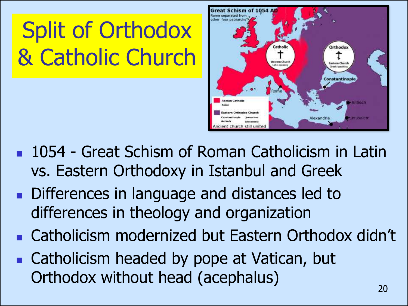# Split of Orthodox & Catholic Church



- 1054 Great Schism of Roman Catholicism in Latin vs. Eastern Orthodoxy in Istanbul and Greek
- Differences in language and distances led to differences in theology and organization
- Catholicism modernized but Eastern Orthodox didn't
- Catholicism headed by pope at Vatican, but Orthodox without head (acephalus)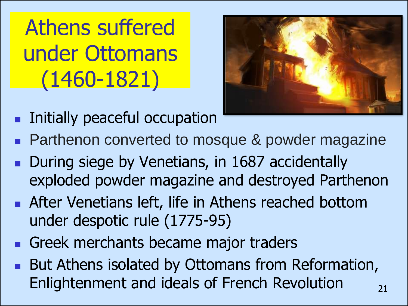Athens suffered under Ottomans (1460-1821)

- 
- Initially peaceful occupation
- Parthenon converted to mosque & powder magazine
- During siege by Venetians, in 1687 accidentally exploded powder magazine and destroyed Parthenon
- After Venetians left, life in Athens reached bottom under despotic rule (1775-95)
- Greek merchants became major traders
- But Athens isolated by Ottomans from Reformation, Enlightenment and ideals of French Revolution  $\frac{1}{21}$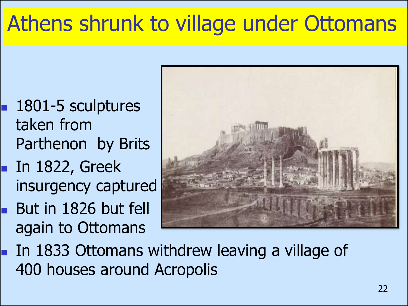## Athens shrunk to village under Ottomans

- 1801-5 sculptures taken from Parthenon by Brits
- In 1822, Greek insurgency captured
- **But in 1826 but fell** again to Ottomans



■ In 1833 Ottomans withdrew leaving a village of 400 houses around Acropolis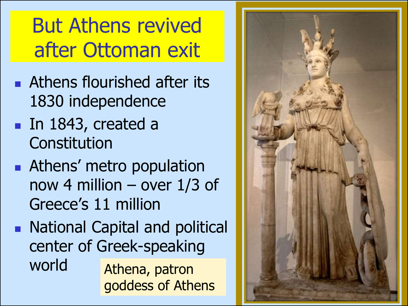### But Athens revived after Ottoman exit

- Athens flourished after its 1830 independence
- In 1843, created a **Constitution**
- Athens' metro population now 4 million – over 1/3 of Greece's 11 million
- National Capital and political center of Greek -speaking world Athena, patron goddess of Athens

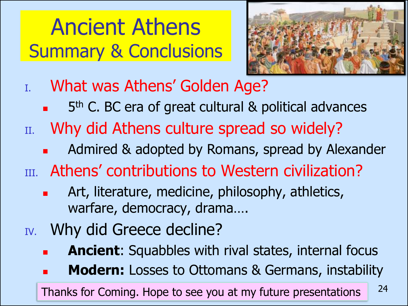### Ancient Athens Summary & Conclusions



- I. What was Athens' Golden Age?
	- 5<sup>th</sup> C. BC era of great cultural & political advances
- II. Why did Athens culture spread so widely?
	- Admired & adopted by Romans, spread by Alexander
- III. Athens' contributions to Western civilization?
	- Art, literature, medicine, philosophy, athletics, warfare, democracy, drama….
- IV. Why did Greece decline?
	- **Ancient:** Squabbles with rival states, internal focus
	- **Modern:** Losses to Ottomans & Germans, instability

Thanks for Coming. Hope to see you at my future presentations <sup>24</sup>